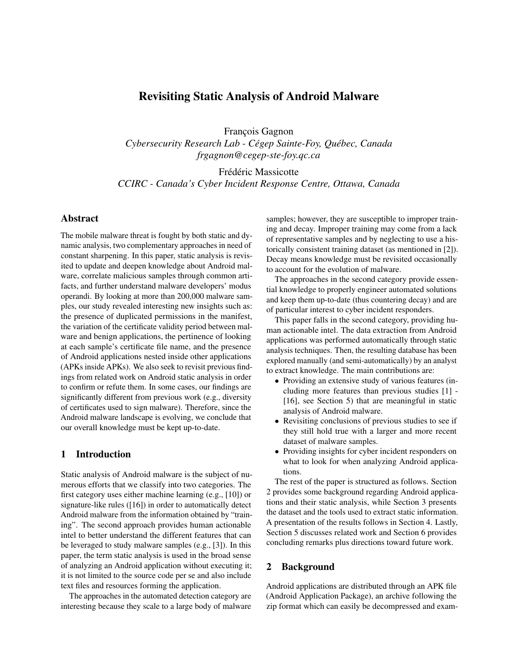# Revisiting Static Analysis of Android Malware

François Gagnon

*Cybersecurity Research Lab - Cégep Sainte-Foy, Québec, Canada frgagnon@cegep-ste-foy.qc.ca*

Frédéric Massicotte

*CCIRC - Canada's Cyber Incident Response Centre, Ottawa, Canada*

# Abstract

The mobile malware threat is fought by both static and dynamic analysis, two complementary approaches in need of constant sharpening. In this paper, static analysis is revisited to update and deepen knowledge about Android malware, correlate malicious samples through common artifacts, and further understand malware developers' modus operandi. By looking at more than 200,000 malware samples, our study revealed interesting new insights such as: the presence of duplicated permissions in the manifest, the variation of the certificate validity period between malware and benign applications, the pertinence of looking at each sample's certificate file name, and the presence of Android applications nested inside other applications (APKs inside APKs). We also seek to revisit previous findings from related work on Android static analysis in order to confirm or refute them. In some cases, our findings are significantly different from previous work (e.g., diversity of certificates used to sign malware). Therefore, since the Android malware landscape is evolving, we conclude that our overall knowledge must be kept up-to-date.

# 1 Introduction

Static analysis of Android malware is the subject of numerous efforts that we classify into two categories. The first category uses either machine learning (e.g., [10]) or signature-like rules ([16]) in order to automatically detect Android malware from the information obtained by "training". The second approach provides human actionable intel to better understand the different features that can be leveraged to study malware samples (e.g., [3]). In this paper, the term static analysis is used in the broad sense of analyzing an Android application without executing it; it is not limited to the source code per se and also include text files and resources forming the application.

The approaches in the automated detection category are interesting because they scale to a large body of malware samples; however, they are susceptible to improper training and decay. Improper training may come from a lack of representative samples and by neglecting to use a historically consistent training dataset (as mentioned in [2]). Decay means knowledge must be revisited occasionally to account for the evolution of malware.

The approaches in the second category provide essential knowledge to properly engineer automated solutions and keep them up-to-date (thus countering decay) and are of particular interest to cyber incident responders.

This paper falls in the second category, providing human actionable intel. The data extraction from Android applications was performed automatically through static analysis techniques. Then, the resulting database has been explored manually (and semi-automatically) by an analyst to extract knowledge. The main contributions are:

- Providing an extensive study of various features (including more features than previous studies [1] - [16], see Section 5) that are meaningful in static analysis of Android malware.
- Revisiting conclusions of previous studies to see if they still hold true with a larger and more recent dataset of malware samples.
- Providing insights for cyber incident responders on what to look for when analyzing Android applications.

The rest of the paper is structured as follows. Section 2 provides some background regarding Android applications and their static analysis, while Section 3 presents the dataset and the tools used to extract static information. A presentation of the results follows in Section 4. Lastly, Section 5 discusses related work and Section 6 provides concluding remarks plus directions toward future work.

# 2 Background

Android applications are distributed through an APK file (Android Application Package), an archive following the zip format which can easily be decompressed and exam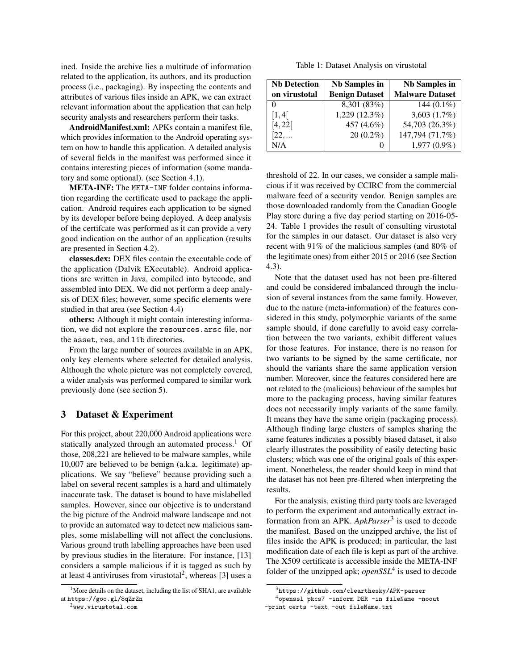ined. Inside the archive lies a multitude of information related to the application, its authors, and its production process (i.e., packaging). By inspecting the contents and attributes of various files inside an APK, we can extract relevant information about the application that can help security analysts and researchers perform their tasks.

AndroidManifest.xml: APKs contain a manifest file, which provides information to the Android operating system on how to handle this application. A detailed analysis of several fields in the manifest was performed since it contains interesting pieces of information (some mandatory and some optional). (see Section 4.1).

META-INF: The META-INF folder contains information regarding the certificate used to package the application. Android requires each application to be signed by its developer before being deployed. A deep analysis of the certifcate was performed as it can provide a very good indication on the author of an application (results are presented in Section 4.2).

classes.dex: DEX files contain the executable code of the application (Dalvik EXecutable). Android applications are written in Java, compiled into bytecode, and assembled into DEX. We did not perform a deep analysis of DEX files; however, some specific elements were studied in that area (see Section 4.4)

others: Although it might contain interesting information, we did not explore the resources.arsc file, nor the asset, res, and lib directories.

From the large number of sources available in an APK, only key elements where selected for detailed analysis. Although the whole picture was not completely covered, a wider analysis was performed compared to similar work previously done (see section 5).

## 3 Dataset & Experiment

For this project, about 220,000 Android applications were statically analyzed through an automated process.<sup>1</sup> Of those, 208,221 are believed to be malware samples, while 10,007 are believed to be benign (a.k.a. legitimate) applications. We say "believe" because providing such a label on several recent samples is a hard and ultimately inaccurate task. The dataset is bound to have mislabelled samples. However, since our objective is to understand the big picture of the Android malware landscape and not to provide an automated way to detect new malicious samples, some mislabelling will not affect the conclusions. Various ground truth labelling approaches have been used by previous studies in the literature. For instance, [13] considers a sample malicious if it is tagged as such by at least 4 antiviruses from virustotal<sup>2</sup>, whereas [3] uses a

<sup>2</sup>www.virustotal.com

Table 1: Dataset Analysis on virustotal

| <b>Nb Detection</b> | <b>Nb Samples in</b>  | <b>Nb Samples in</b>   |
|---------------------|-----------------------|------------------------|
| on virustotal       | <b>Benign Dataset</b> | <b>Malware Dataset</b> |
|                     | 8,301 (83%)           | 144 $(0.1\%)$          |
| $\left[1,4\right[$  | 1,229 (12.3%)         | 3,603 $(1.7\%)$        |
| [4, 22]             | 457 (4.6%)            | 54,703 (26.3%)         |
| [22,]               | $20(0.2\%)$           | 147,794 (71.7%)        |
| N/A                 | 0                     | 1,977 (0.9%)           |

threshold of 22. In our cases, we consider a sample malicious if it was received by CCIRC from the commercial malware feed of a security vendor. Benign samples are those downloaded randomly from the Canadian Google Play store during a five day period starting on 2016-05- 24. Table 1 provides the result of consulting virustotal for the samples in our dataset. Our dataset is also very recent with 91% of the malicious samples (and 80% of the legitimate ones) from either 2015 or 2016 (see Section 4.3).

Note that the dataset used has not been pre-filtered and could be considered imbalanced through the inclusion of several instances from the same family. However, due to the nature (meta-information) of the features considered in this study, polymorphic variants of the same sample should, if done carefully to avoid easy correlation between the two variants, exhibit different values for those features. For instance, there is no reason for two variants to be signed by the same certificate, nor should the variants share the same application version number. Moreover, since the features considered here are not related to the (malicious) behaviour of the samples but more to the packaging process, having similar features does not necessarily imply variants of the same family. It means they have the same origin (packaging process). Although finding large clusters of samples sharing the same features indicates a possibly biased dataset, it also clearly illustrates the possibility of easily detecting basic clusters; which was one of the original goals of this experiment. Nonetheless, the reader should keep in mind that the dataset has not been pre-filtered when interpreting the results.

For the analysis, existing third party tools are leveraged to perform the experiment and automatically extract information from an APK. *ApkParser*<sup>3</sup> is used to decode the manifest. Based on the unzipped archive, the list of files inside the APK is produced; in particular, the last modification date of each file is kept as part of the archive. The X509 certificate is accessible inside the META-INF folder of the unzipped apk; *openSSL*<sup>4</sup> is used to decode

<sup>&</sup>lt;sup>1</sup>More details on the dataset, including the list of SHA1, are available at https://goo.gl/8qZrZn

<sup>3</sup>https://github.com/clearthesky/APK-parser

<sup>4</sup>openssl pkcs7 -inform DER -in fileName -noout -print certs -text -out fileName.txt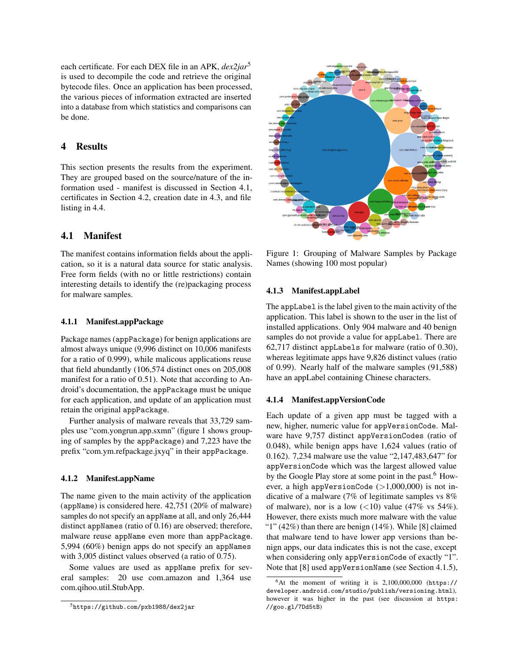each certificate. For each DEX file in an APK, *dex2jar*<sup>5</sup> is used to decompile the code and retrieve the original bytecode files. Once an application has been processed, the various pieces of information extracted are inserted into a database from which statistics and comparisons can be done.

# 4 Results

This section presents the results from the experiment. They are grouped based on the source/nature of the information used - manifest is discussed in Section 4.1, certificates in Section 4.2, creation date in 4.3, and file listing in 4.4.

## 4.1 Manifest

The manifest contains information fields about the application, so it is a natural data source for static analysis. Free form fields (with no or little restrictions) contain interesting details to identify the (re)packaging process for malware samples.

### 4.1.1 Manifest.appPackage

Package names (appPackage) for benign applications are almost always unique (9,996 distinct on 10,006 manifests for a ratio of 0.999), while malicous applications reuse that field abundantly (106,574 distinct ones on 205,008 manifest for a ratio of 0.51). Note that according to Android's documentation, the appPackage must be unique for each application, and update of an application must retain the original appPackage.

Further analysis of malware reveals that 33,729 samples use "com.yongrun.app.sxmn" (figure 1 shows grouping of samples by the appPackage) and 7,223 have the prefix "com.ym.refpackage.jxyq" in their appPackage.

### 4.1.2 Manifest.appName

The name given to the main activity of the application (appName) is considered here. 42,751 (20% of malware) samples do not specify an appName at all, and only 26,444 distinct appNames (ratio of 0.16) are observed; therefore, malware reuse appName even more than appPackage. 5,994 (60%) benign apps do not specify an appNames with 3,005 distinct values observed (a ratio of 0.75).

Some values are used as appName prefix for several samples: 20 use com.amazon and 1,364 use com.qihoo.util.StubApp.



Figure 1: Grouping of Malware Samples by Package Names (showing 100 most popular)

### 4.1.3 Manifest.appLabel

The appLabel is the label given to the main activity of the application. This label is shown to the user in the list of installed applications. Only 904 malware and 40 benign samples do not provide a value for appLabel. There are 62,717 distinct appLabels for malware (ratio of 0.30), whereas legitimate apps have 9,826 distinct values (ratio of 0.99). Nearly half of the malware samples (91,588) have an appLabel containing Chinese characters.

### 4.1.4 Manifest.appVersionCode

Each update of a given app must be tagged with a new, higher, numeric value for appVersionCode. Malware have 9,757 distinct appVersionCodes (ratio of 0.048), while benign apps have 1,624 values (ratio of 0.162). 7,234 malware use the value "2,147,483,647" for appVersionCode which was the largest allowed value by the Google Play store at some point in the past.<sup>6</sup> However, a high appVersionCode  $(>1,000,000)$  is not indicative of a malware (7% of legitimate samples vs 8% of malware), nor is a low  $(<10)$  value (47% vs 54%). However, there exists much more malware with the value "1"  $(42\%)$  than there are benign  $(14\%)$ . While [8] claimed that malware tend to have lower app versions than benign apps, our data indicates this is not the case, except when considering only appVersionCode of exactly "1". Note that [8] used appVersionName (see Section 4.1.5),

<sup>5</sup>https://github.com/pxb1988/dex2jar

 $6$ At the moment of writing it is  $2,100,000,000$  (https:// developer.android.com/studio/publish/versioning.html), however it was higher in the past (see discussion at https: //goo.gl/7Dd5tB)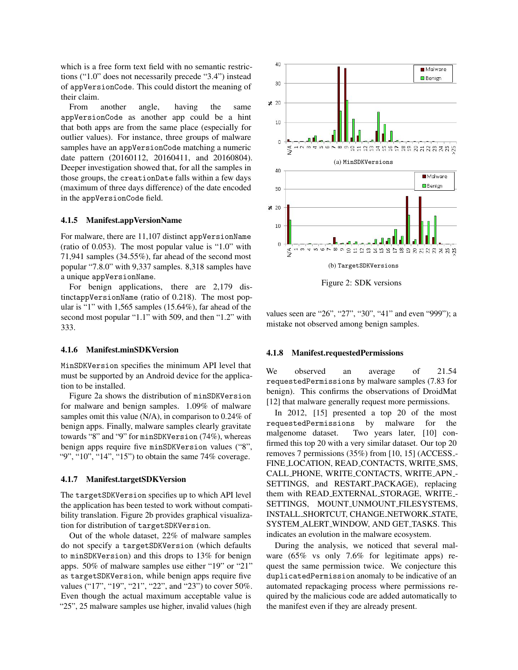which is a free form text field with no semantic restrictions ("1.0" does not necessarily precede "3.4") instead of appVersionCode. This could distort the meaning of their claim.

From another angle, having the same appVersionCode as another app could be a hint that both apps are from the same place (especially for outlier values). For instance, three groups of malware samples have an appVersionCode matching a numeric date pattern (20160112, 20160411, and 20160804). Deeper investigation showed that, for all the samples in those groups, the creationDate falls within a few days (maximum of three days difference) of the date encoded in the appVersionCode field.

#### 4.1.5 Manifest.appVersionName

For malware, there are 11,107 distinct appVersionName (ratio of 0.053). The most popular value is "1.0" with 71,941 samples (34.55%), far ahead of the second most popular "7.8.0" with 9,337 samples. 8,318 samples have a unique appVersionName.

For benign applications, there are 2,179 distinctappVersionName (ratio of 0.218). The most popular is "1" with 1,565 samples (15.64%), far ahead of the second most popular "1.1" with 509, and then "1.2" with 333.

### 4.1.6 Manifest.minSDKVersion

MinSDKVersion specifies the minimum API level that must be supported by an Android device for the application to be installed.

Figure 2a shows the distribution of minSDKVersion for malware and benign samples. 1.09% of malware samples omit this value (N/A), in comparison to 0.24% of benign apps. Finally, malware samples clearly gravitate towards "8" and "9" for minSDKVersion (74%), whereas benign apps require five minSDKVersion values ("8", "9", "10", "14", "15") to obtain the same 74% coverage.

#### 4.1.7 Manifest.targetSDKVersion

The targetSDKVersion specifies up to which API level the application has been tested to work without compatibility translation. Figure 2b provides graphical visualization for distribution of targetSDKVersion.

Out of the whole dataset, 22% of malware samples do not specify a targetSDKVersion (which defaults to minSDKVersion) and this drops to 13% for benign apps. 50% of malware samples use either "19" or "21" as targetSDKVersion, while benign apps require five values ("17", "19", "21", "22", and "23") to cover 50%. Even though the actual maximum acceptable value is "25", 25 malware samples use higher, invalid values (high



Figure 2: SDK versions

values seen are "26", "27", "30", "41" and even "999"); a mistake not observed among benign samples.

#### 4.1.8 Manifest.requestedPermissions

We observed an average of 21.54 requestedPermissions by malware samples (7.83 for benign). This confirms the observations of DroidMat [12] that malware generally request more permissions.

In 2012, [15] presented a top 20 of the most requestedPermissions by malware for the malgenome dataset. Two years later, [10] confirmed this top 20 with a very similar dataset. Our top 20 removes 7 permissions (35%) from [10, 15] (ACCESS - FINE LOCATION, READ CONTACTS, WRITE SMS, CALL PHONE, WRITE CONTACTS, WRITE APN - SETTINGS, and RESTART PACKAGE), replacing them with READ EXTERNAL STORAGE, WRITE - SETTINGS, MOUNT UNMOUNT FILESYSTEMS, INSTALL SHORTCUT, CHANGE NETWORK STATE, SYSTEM ALERT WINDOW, AND GET TASKS. This indicates an evolution in the malware ecosystem.

During the analysis, we noticed that several malware (65% vs only 7.6% for legitimate apps) request the same permission twice. We conjecture this duplicatedPermission anomaly to be indicative of an automated repackaging process where permissions required by the malicious code are added automatically to the manifest even if they are already present.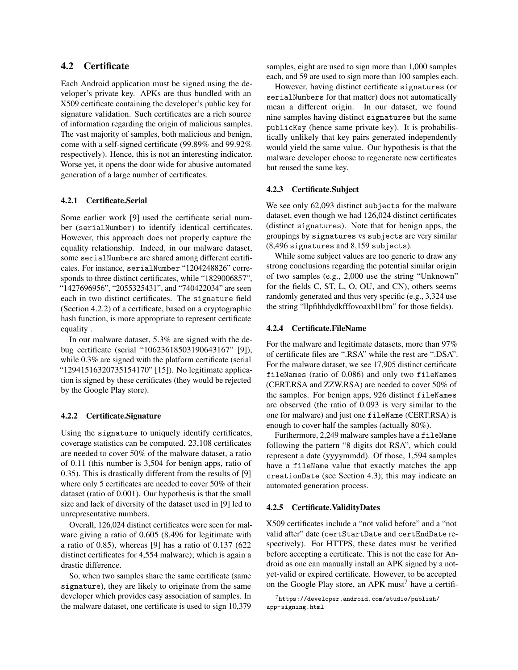# 4.2 Certificate

Each Android application must be signed using the developer's private key. APKs are thus bundled with an X509 certificate containing the developer's public key for signature validation. Such certificates are a rich source of information regarding the origin of malicious samples. The vast majority of samples, both malicious and benign, come with a self-signed certificate (99.89% and 99.92% respectively). Hence, this is not an interesting indicator. Worse yet, it opens the door wide for abusive automated generation of a large number of certificates.

### 4.2.1 Certificate.Serial

Some earlier work [9] used the certificate serial number (serialNumber) to identify identical certificates. However, this approach does not properly capture the equality relationship. Indeed, in our malware dataset, some serialNumbers are shared among different certificates. For instance, serialNumber "1204248826" corresponds to three distinct certificates, while "1829006857", "1427696956", "2055325431", and "740422034" are seen each in two distinct certificates. The signature field (Section 4.2.2) of a certificate, based on a cryptographic hash function, is more appropriate to represent certificate equality .

In our malware dataset, 5.3% are signed with the debug certificate (serial "10623618503190643167" [9]), while 0.3% are signed with the platform certificate (serial "12941516320735154170" [15]). No legitimate application is signed by these certificates (they would be rejected by the Google Play store).

### 4.2.2 Certificate.Signature

Using the signature to uniquely identify certificates, coverage statistics can be computed. 23,108 certificates are needed to cover 50% of the malware dataset, a ratio of 0.11 (this number is 3,504 for benign apps, ratio of 0.35). This is drastically different from the results of [9] where only 5 certificates are needed to cover 50% of their dataset (ratio of 0.001). Our hypothesis is that the small size and lack of diversity of the dataset used in [9] led to unrepresentative numbers.

Overall, 126,024 distinct certificates were seen for malware giving a ratio of 0.605 (8,496 for legitimate with a ratio of 0.85), whereas [9] has a ratio of 0.137 (622 distinct certificates for 4,554 malware); which is again a drastic difference.

So, when two samples share the same certificate (same signature), they are likely to originate from the same developer which provides easy association of samples. In the malware dataset, one certificate is used to sign 10,379 samples, eight are used to sign more than 1,000 samples each, and 59 are used to sign more than 100 samples each.

However, having distinct certificate signatures (or serialNumbers for that matter) does not automatically mean a different origin. In our dataset, we found nine samples having distinct signatures but the same publicKey (hence same private key). It is probabilistically unlikely that key pairs generated independently would yield the same value. Our hypothesis is that the malware developer choose to regenerate new certificates but reused the same key.

### 4.2.3 Certificate.Subject

We see only 62,093 distinct subjects for the malware dataset, even though we had 126,024 distinct certificates (distinct signatures). Note that for benign apps, the groupings by signatures vs subjects are very similar (8,496 signatures and 8,159 subjects).

While some subject values are too generic to draw any strong conclusions regarding the potential similar origin of two samples (e.g., 2,000 use the string "Unknown" for the fields C, ST, L, O, OU, and CN), others seems randomly generated and thus very specific (e.g., 3,324 use the string "llpfihhdydkfffovoaxbl1bm" for those fields).

### 4.2.4 Certificate.FileName

For the malware and legitimate datasets, more than 97% of certificate files are ".RSA" while the rest are ".DSA". For the malware dataset, we see 17,905 distinct certificate fileNames (ratio of 0.086) and only two fileNames (CERT.RSA and ZZW.RSA) are needed to cover 50% of the samples. For benign apps, 926 distinct fileNames are observed (the ratio of 0.093 is very similar to the one for malware) and just one fileName (CERT.RSA) is enough to cover half the samples (actually 80%).

Furthermore, 2,249 malware samples have a fileName following the pattern "8 digits dot RSA", which could represent a date (yyyymmdd). Of those, 1,594 samples have a fileName value that exactly matches the app creationDate (see Section 4.3); this may indicate an automated generation process.

### 4.2.5 Certificate.ValidityDates

X509 certificates include a "not valid before" and a "not valid after" date (certStartDate and certEndDate respectively). For HTTPS, these dates must be verified before accepting a certificate. This is not the case for Android as one can manually install an APK signed by a notyet-valid or expired certificate. However, to be accepted on the Google Play store, an APK must<sup>7</sup> have a certifi-

<sup>7</sup>https://developer.android.com/studio/publish/ app-signing.html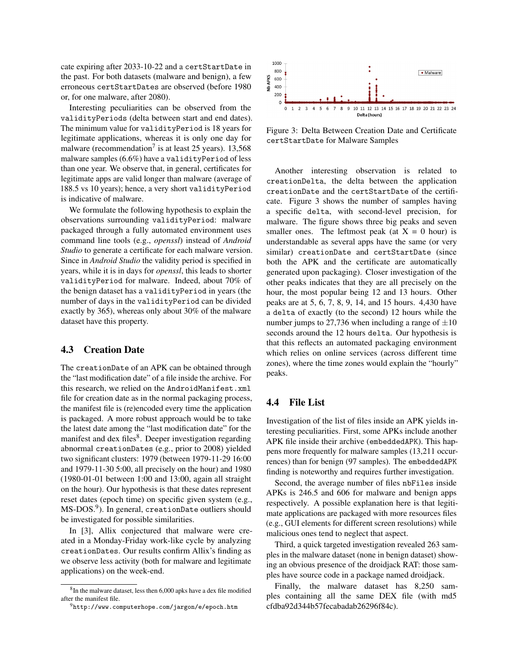cate expiring after 2033-10-22 and a certStartDate in the past. For both datasets (malware and benign), a few erroneous certStartDates are observed (before 1980 or, for one malware, after 2080).

Interesting peculiarities can be observed from the validityPeriods (delta between start and end dates). The minimum value for validityPeriod is 18 years for legitimate applications, whereas it is only one day for malware (recommendation<sup>7</sup> is at least 25 years). 13,568 malware samples (6.6%) have a validityPeriod of less than one year. We observe that, in general, certificates for legitimate apps are valid longer than malware (average of 188.5 vs 10 years); hence, a very short validityPeriod is indicative of malware.

We formulate the following hypothesis to explain the observations surrounding validityPeriod: malware packaged through a fully automated environment uses command line tools (e.g., *openssl*) instead of *Android Studio* to generate a certificate for each malware version. Since in *Android Studio* the validity period is specified in years, while it is in days for *openssl*, this leads to shorter validityPeriod for malware. Indeed, about 70% of the benign dataset has a validityPeriod in years (the number of days in the validityPeriod can be divided exactly by 365), whereas only about 30% of the malware dataset have this property.

## 4.3 Creation Date

The creationDate of an APK can be obtained through the "last modification date" of a file inside the archive. For this research, we relied on the AndroidManifest.xml file for creation date as in the normal packaging process, the manifest file is (re)encoded every time the application is packaged. A more robust approach would be to take the latest date among the "last modification date" for the manifest and dex files<sup>8</sup>. Deeper investigation regarding abnormal creationDates (e.g., prior to 2008) yielded two significant clusters: 1979 (between 1979-11-29 16:00 and 1979-11-30 5:00, all precisely on the hour) and 1980 (1980-01-01 between 1:00 and 13:00, again all straight on the hour). Our hypothesis is that these dates represent reset dates (epoch time) on specific given system (e.g.,  $\overline{\text{MS-DOS.}}^9$ ). In general, creationDate outliers should be investigated for possible similarities.

In [3], Allix conjectured that malware were created in a Monday-Friday work-like cycle by analyzing creationDates. Our results confirm Allix's finding as we observe less activity (both for malware and legitimate applications) on the week-end.



Figure 3: Delta Between Creation Date and Certificate certStartDate for Malware Samples

Another interesting observation is related to creationDelta, the delta between the application creationDate and the certStartDate of the certificate. Figure 3 shows the number of samples having a specific delta, with second-level precision, for malware. The figure shows three big peaks and seven smaller ones. The leftmost peak (at  $X = 0$  hour) is understandable as several apps have the same (or very similar) creationDate and certStartDate (since both the APK and the certificate are automatically generated upon packaging). Closer investigation of the other peaks indicates that they are all precisely on the hour, the most popular being 12 and 13 hours. Other peaks are at 5, 6, 7, 8, 9, 14, and 15 hours. 4,430 have a delta of exactly (to the second) 12 hours while the number jumps to 27,736 when including a range of  $\pm 10$ seconds around the 12 hours delta. Our hypothesis is that this reflects an automated packaging environment which relies on online services (across different time zones), where the time zones would explain the "hourly" peaks.

## 4.4 File List

Investigation of the list of files inside an APK yields interesting peculiarities. First, some APKs include another APK file inside their archive (embeddedAPK). This happens more frequently for malware samples (13,211 occurrences) than for benign (97 samples). The embeddedAPK finding is noteworthy and requires further investigation.

Second, the average number of files nbFiles inside APKs is 246.5 and 606 for malware and benign apps respectively. A possible explanation here is that legitimate applications are packaged with more resources files (e.g., GUI elements for different screen resolutions) while malicious ones tend to neglect that aspect.

Third, a quick targeted investigation revealed 263 samples in the malware dataset (none in benign dataset) showing an obvious presence of the droidjack RAT: those samples have source code in a package named droidjack.

Finally, the malware dataset has 8,250 samples containing all the same DEX file (with md5 cfdba92d344b57fecabadab26296f84c).

<sup>&</sup>lt;sup>8</sup>In the malware dataset, less then 6,000 apks have a dex file modified after the manifest file.

<sup>9</sup>http://www.computerhope.com/jargon/e/epoch.htm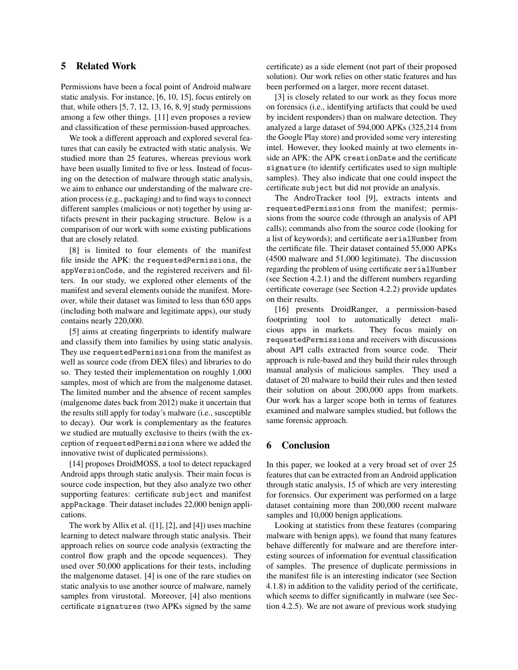# 5 Related Work

Permissions have been a focal point of Android malware static analysis. For instance, [6, 10, 15], focus entirely on that, while others  $[5, 7, 12, 13, 16, 8, 9]$  study permissions among a few other things. [11] even proposes a review and classification of these permission-based approaches.

We took a different approach and explored several features that can easily be extracted with static analysis. We studied more than 25 features, whereas previous work have been usually limited to five or less. Instead of focusing on the detection of malware through static analysis, we aim to enhance our understanding of the malware creation process (e.g., packaging) and to find ways to connect different samples (malicious or not) together by using artifacts present in their packaging structure. Below is a comparison of our work with some existing publications that are closely related.

[8] is limited to four elements of the manifest file inside the APK: the requestedPermissions, the appVersionCode, and the registered receivers and filters. In our study, we explored other elements of the manifest and several elements outside the manifest. Moreover, while their dataset was limited to less than 650 apps (including both malware and legitimate apps), our study contains nearly 220,000.

[5] aims at creating fingerprints to identify malware and classify them into families by using static analysis. They use requestedPermissions from the manifest as well as source code (from DEX files) and libraries to do so. They tested their implementation on roughly 1,000 samples, most of which are from the malgenome dataset. The limited number and the absence of recent samples (malgenome dates back from 2012) make it uncertain that the results still apply for today's malware (i.e., susceptible to decay). Our work is complementary as the features we studied are mutually exclusive to theirs (with the exception of requestedPermissions where we added the innovative twist of duplicated permissions).

[14] proposes DroidMOSS, a tool to detect repackaged Android apps through static analysis. Their main focus is source code inspection, but they also analyze two other supporting features: certificate subject and manifest appPackage. Their dataset includes 22,000 benign applications.

The work by Allix et al.  $([1], [2],$  and  $[4])$  uses machine learning to detect malware through static analysis. Their approach relies on source code analysis (extracting the control flow graph and the opcode sequences). They used over 50,000 applications for their tests, including the malgenome dataset. [4] is one of the rare studies on static analysis to use another source of malware, namely samples from virustotal. Moreover, [4] also mentions certificate signatures (two APKs signed by the same certificate) as a side element (not part of their proposed solution). Our work relies on other static features and has been performed on a larger, more recent dataset.

[3] is closely related to our work as they focus more on forensics (i.e., identifying artifacts that could be used by incident responders) than on malware detection. They analyzed a large dataset of 594,000 APKs (325,214 from the Google Play store) and provided some very interesting intel. However, they looked mainly at two elements inside an APK: the APK creationDate and the certificate signature (to identify certificates used to sign multiple samples). They also indicate that one could inspect the certificate subject but did not provide an analysis.

The AndroTracker tool [9], extracts intents and requestedPermissions from the manifest; permissions from the source code (through an analysis of API calls); commands also from the source code (looking for a list of keywords); and certificate serialNumber from the certificate file. Their dataset contained 55,000 APKs (4500 malware and 51,000 legitimate). The discussion regarding the problem of using certificate serialNumber (see Section 4.2.1) and the different numbers regarding certificate coverage (see Section 4.2.2) provide updates on their results.

[16] presents DroidRanger, a permission-based footprinting tool to automatically detect malicious apps in markets. They focus mainly on requestedPermissions and receivers with discussions about API calls extracted from source code. Their approach is rule-based and they build their rules through manual analysis of malicious samples. They used a dataset of 20 malware to build their rules and then tested their solution on about 200,000 apps from markets. Our work has a larger scope both in terms of features examined and malware samples studied, but follows the same forensic approach.

# 6 Conclusion

In this paper, we looked at a very broad set of over 25 features that can be extracted from an Android application through static analysis, 15 of which are very interesting for forensics. Our experiment was performed on a large dataset containing more than 200,000 recent malware samples and 10,000 benign applications.

Looking at statistics from these features (comparing malware with benign apps), we found that many features behave differently for malware and are therefore interesting sources of information for eventual classification of samples. The presence of duplicate permissions in the manifest file is an interesting indicator (see Section 4.1.8) in addition to the validity period of the certificate, which seems to differ significantly in malware (see Section 4.2.5). We are not aware of previous work studying